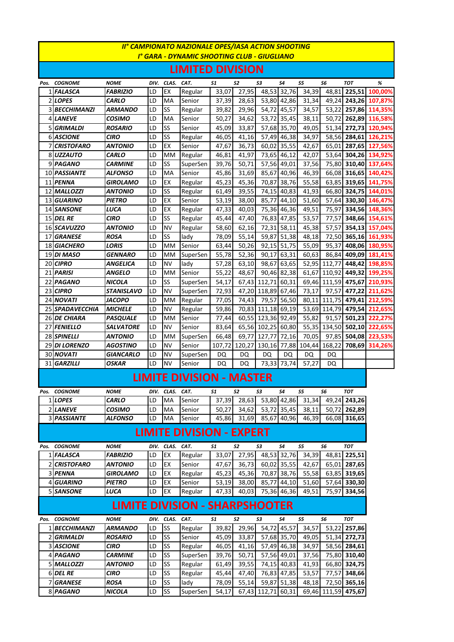| II° CAMPIONATO NAZIONALE OPES/IASA ACTION SHOOTING |                          |                       |          |            |                                 |                |                |                    |                            |                            |              |               |                                              |
|----------------------------------------------------|--------------------------|-----------------------|----------|------------|---------------------------------|----------------|----------------|--------------------|----------------------------|----------------------------|--------------|---------------|----------------------------------------------|
| I° GARA - DYNAMIC SHOOTING CLUB - GIUGLIANO        |                          |                       |          |            |                                 |                |                |                    |                            |                            |              |               |                                              |
| <b>LIMITED DIVISION</b>                            |                          |                       |          |            |                                 |                |                |                    |                            |                            |              |               |                                              |
|                                                    | Pos. COGNOME             | <b>NOME</b>           | DIV.     | CLAS.      | CAT.                            | 51             | S2             | S3                 | S4                         | S5                         | S6           | <b>TOT</b>    | %                                            |
|                                                    | 1 FALASCA                | <b>FABRIZIO</b>       | LD       | EX         | Regular                         | 33,07          | 27,95          |                    | 48,53 32,76                | 34,39                      | 48,81        | 225,51        | 100,00%                                      |
|                                                    | 2 LOPES                  | <b>CARLO</b>          | LD       | MA         | Senior                          | 37,39          | 28,63          |                    | 53,80 42,86                | 31,34                      |              |               | 49,24 243,26 107,87%                         |
|                                                    | 3 BECCHIMANZI            | ARMANDO               | LD       | SS         | Regular                         | 39,82          | 29,96          |                    | 54,72 45,57                | 34,57                      |              |               | 53,22 257,86 114,35%                         |
|                                                    | 4 LANEVE                 | <b>COSIMO</b>         | LD       | MA         | Senior                          | 50,27          | 34,62          |                    | 53,72 35,45                | 38,11                      |              |               | 50,72 262,89 116,58%                         |
|                                                    | 5 GRIMALDI               | <b>ROSARIO</b>        | LD       | SS         | Senior                          | 45,09          | 33,87          |                    | 57,68 35,70                | 49,05                      | 51,34        | 272.73        | 120,94%                                      |
|                                                    | <b>6 ASCIONE</b>         | CIRO                  | LD       | SS         | Regular                         | 46,05          | 41,16          |                    | 57,49 46,38                | 34,97                      |              | 58,56 284,61  | 126,21%                                      |
|                                                    | <b>7 CRISTOFARO</b>      | ANTONIO               | LD       | EX         | Senior                          | 47,67          | 36,73          |                    | 60,02 35,55                | 42,67                      |              |               | 65,01 287,65 127,56%                         |
|                                                    | 8UZZAUTO                 | <b>CARLO</b>          | LD       | <b>MM</b>  | Regular                         | 46,81          | 41,97          |                    | 73,65 46,12                | 42,07                      |              |               | 53,64 304,26 134,92%                         |
|                                                    | 9 PAGANO                 | CARMINE               | LD       | SS         | SuperSen                        | 39,76          | 50,71          |                    | 57,56 49,01                | 37,56                      |              |               | 75,80 310,40 137,64%                         |
|                                                    | 10 PASSIANTE             | ALFONSO               | LD       | MA         | Senior                          | 45,86          | 31,69          | 85,67              | 40,96                      | 46,39                      |              |               | 66,08 316,65 140,42%                         |
|                                                    | 11 PENNA<br>12 MALLOZZI  | GIROLAMO              | LD<br>LD | EX<br>SS   | Regular                         | 45,23          | 45,36          |                    | 70,87 38,76                | 55,58                      |              |               | 63,85 319,65 141,75%<br>66,80 324,75 144,01% |
|                                                    |                          | <i><b>ANTONIO</b></i> |          |            | Regular                         | 61,49          | 39,55          |                    | 74,15 40,83                | 41,93                      |              |               |                                              |
|                                                    | 13 GUARINO<br>14 SANSONE | PIETRO<br>LUCA        | LD<br>LD | EX<br>EX   | Senior<br>Regular               | 53,19<br>47,33 | 38,00<br>40,03 |                    | 85,77 44,10<br>75,36 46,36 | 51,60<br>49,51             |              |               | 57,64 330,30 146,47%<br>75,97 334,56 148,36% |
|                                                    | <b>15 DEL RE</b>         | <b>CIRO</b>           | LD       | SS         | Regular                         | 45,44          | 47,40          |                    | 76,83 47,85                | 53,57                      |              |               | 77,57 348,66 154,61%                         |
|                                                    | 16 SCAVUZZO              | ANTONIO               | LD       | <b>NV</b>  | Regular                         | 58,60          | 62,16          |                    | 72,31 58,11                | 45,38                      |              |               | 57,57 354,13 157,04%                         |
|                                                    | 17 GRANESE               | <b>ROSA</b>           | LD       | SS         | lady                            | 78,09          | 55,14          |                    | 59,87 51,38                | 48,18                      |              |               | 72,50 365,16 161,93%                         |
|                                                    | 18 GIACHERO              | <b>LORIS</b>          | LD       | <b>MM</b>  | Senior                          | 63,44          | 50,26          |                    | 92,15 51,75                | 55,09                      | 95,37        |               | 408,06 180,95%                               |
|                                                    | 19 DI MASO               | <b>GENNARO</b>        | LD       | <b>MM</b>  | SuperSen                        | 55,78          | 52,36          |                    | 90,17 63,31                | 60,63                      | 86,84        |               | 409,09 181,41%                               |
|                                                    | 20 CIPRO                 | ANGELICA              | LD       | <b>NV</b>  | lady                            | 57,28          | 63,10          |                    | 98,67 63,65                |                            | 52,95 112,77 |               | 448,42 198,85%                               |
|                                                    | 21 PARISI                | <b>ANGELO</b>         | LD       | <b>MM</b>  | Senior                          | 55,22          | 48,67          |                    | 90,46 82,38                | 61,67                      |              |               | 110,92 449,32 199,25%                        |
|                                                    | 22 PAGANO                | <b>NICOLA</b>         | LD       | SS         | SuperSen                        | 54,17          | 67,43          | 112,71 60,31       |                            | 69,46                      |              |               | 111,59 475,67 210,93%                        |
|                                                    | 23 CIPRO                 | <b>STANISLAVO</b>     | LD       | <b>NV</b>  | SuperSen                        | 72,93          | 47,20          | 118,89 67,46       |                            | 73,17                      | 97,57        | 477,22        | 211,62%                                      |
|                                                    | 24 NOVATI                | <b>JACOPO</b>         | LD       | <b>MM</b>  | Regular                         | 77,05          | 74,43          |                    | 79,57 56,50                | 80,11                      |              | 111,75 479,41 | 212,59%                                      |
|                                                    | 25 SPADAVECCHIA          | <b>MICHELE</b>        | LD       | <b>NV</b>  | Regular                         | 59,86          | 70,83          | 111,18 69,19       |                            |                            |              |               | 53,69 114,79 479,54 212,65%                  |
|                                                    | 26 DE CHIARA             | <b>PASQUALE</b>       | LD       | <b>MM</b>  | Senior                          | 77,44          |                | 60,55 123,36 92,49 |                            | 55,82                      | 91,57        |               | 501,23 222,27%                               |
|                                                    | 27 FENIELLO              | <b>SALVATORE</b>      | LD       | <b>NV</b>  | Senior                          | 83,64          |                | 65,56 102,25 60,80 |                            |                            | 55,35 134,50 |               | 502,10 222,65%                               |
|                                                    | 28 SPINELLI              | <b>ANTONIO</b>        | LD       | <b>MM</b>  | SuperSen                        | 66,48          | 69,77          | 127,77             | 72,16                      | 70,05                      | 97,85        |               | 504,08 223,53%                               |
|                                                    | 29 DI LORENZO            | <b>AGOSTINO</b>       | LD       | <b>NV</b>  | Senior                          | 107,72 120,27  |                |                    |                            | 130,16 77,88 104,44 168,22 |              |               | 708,69 314,26%                               |
|                                                    | 30 NOVATI                | <b>GIANCARLO</b>      | LD       | <b>NV</b>  | SuperSen                        | DQ             | <b>DQ</b>      | DQ                 | DQ                         | DQ                         | DQ           |               |                                              |
|                                                    | 31 GARZILLI              | <b>OSKAR</b>          | LD       | <b>NV</b>  | Senior                          | DQ             | DQ             |                    | 73,33 73,74                | 57,27                      | DQ           |               |                                              |
|                                                    |                          |                       |          |            | <b>LIMITE DIVISION - MASTER</b> |                |                |                    |                            |                            |              |               |                                              |
|                                                    | Pos. COGNOME             | <b>NOME</b>           | DIV.     | CLAS.      | CAT.                            | 51             | S2             | 53                 | S4                         | S5                         | S6           | <b>TOT</b>    |                                              |
|                                                    | 1LOPES                   | <b>CARLO</b>          | LD       | MA         | Senior                          | 37,39          | 28,63          |                    | 53,80 42,86                | 31,34                      | 49,24        | 243,26        |                                              |
|                                                    | 2 LANEVE                 | <b>COSIMO</b>         | LD       | MA         | Senior                          | 50,27          | 34,62          |                    | 53,72 35,45                | 38.11                      | 50,72        | 262,89        |                                              |
|                                                    | 3 PASSIANTE              | <b>ALFONSO</b>        | LD       | MA         | Senior                          | 45,86          | 31,69          | 85,67              | 40.96                      | 46,39                      | 66,08        | 316,65        |                                              |
| <b>LIMITE DIVISION - EXPERT</b>                    |                          |                       |          |            |                                 |                |                |                    |                            |                            |              |               |                                              |
| Pos.                                               | <b>COGNOME</b>           | <b>NOME</b>           | DIV.     | CLAS.      | CAT.                            | 51             | 52             | 53                 | S4                         | S5                         | S6           | <b>TOT</b>    |                                              |
|                                                    | 1 FALASCA                | <b>FABRIZIO</b>       | LD       | EX         | Regular                         | 33,07          | 27,95          |                    | 48,53 32,76                | 34,39                      |              | 48,81 225,51  |                                              |
|                                                    | 2 CRISTOFARO             | ANTONIO               | LD       | EX         | Senior                          | 47,67          | 36,73          |                    | 60,02 35,55                | 42,67                      | 65,01        | 287,65        |                                              |
|                                                    | 3 PENNA                  | <b>GIROLAMO</b>       | LD       | EX         | Regular                         | 45,23          | 45,36          |                    | 70,87 38,76                | 55,58                      | 63,85        | 319,65        |                                              |
| 4                                                  | <b>GUARINO</b>           | PIETRO                | LD       | EX         | Senior                          | 53,19          | 38,00          | 85,77              | 44,10                      | 51,60                      | 57,64        | 330,30        |                                              |
|                                                    | 5 SANSONE                | LUCA                  | LD       | EX         | Regular                         | 47,33          | 40,03          |                    | 75,36 46,36                | 49,51                      | 75,97        | 334,56        |                                              |
| <b>LIMITE DIVISION - SHARPSHOOTER</b>              |                          |                       |          |            |                                 |                |                |                    |                            |                            |              |               |                                              |
| Pos.                                               | <b>COGNOME</b>           | <b>NOME</b>           |          | DIV. CLAS. | CAT.                            | 51             | S2             | 53                 | 54                         | S5                         | S6           | <b>TOT</b>    |                                              |
|                                                    | 1 BECCHIMANZI            | <b>ARMANDO</b>        | LD       | SS         | Regular                         | 39,82          | 29,96          |                    | 54,72 45,57                | 34,57                      |              | 53,22 257,86  |                                              |
| 2                                                  | <b>GRIMALDI</b>          | <b>ROSARIO</b>        | LD       | SS         | Senior                          | 45,09          | 33,87          |                    | 57,68 35,70                | 49,05                      |              | 51,34 272,73  |                                              |
|                                                    | 3 ASCIONE                | CIRO                  | LD       | SS         | Regular                         | 46,05          | 41,16          |                    | 57,49 46,38                | 34,97                      | 58,56        | 284,61        |                                              |
|                                                    | 4 PAGANO                 | CARMINE               | LD       | SS         | SuperSen                        | 39,76          | 50,71          |                    | 57,56 49,01                | 37,56                      |              | 75,80 310,40  |                                              |
|                                                    | 5 MALLOZZI               | ANTONIO               | LD       | SS         | Regular                         | 61,49          | 39,55          |                    | 74,15 40,83                | 41,93                      |              | 66,80 324,75  |                                              |
|                                                    | 6 DEL RE                 | CIRO                  | LD       | <b>SS</b>  | Regular                         | 45,44          | 47,40          |                    | 76,83 47,85                | 53,57                      |              | 77,57 348,66  |                                              |

 *GRANESE ROSA* LD SS lady 78,09 55,14 59,87 51,38 48,18 72,50 **365,16** *PAGANO NICOLA* LD SS SuperSen 54,17 67,43 112,71 60,31 69,46 111,59 **475,67**